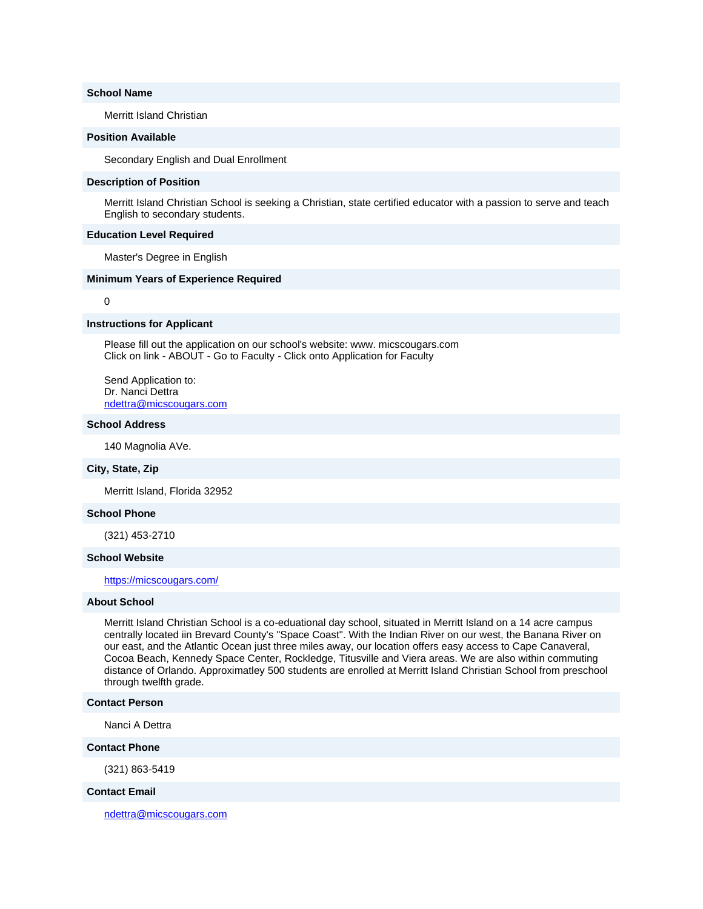#### **School Name**

Merritt Island Christian

# **Position Available**

Secondary English and Dual Enrollment

# **Description of Position**

Merritt Island Christian School is seeking a Christian, state certified educator with a passion to serve and teach English to secondary students.

#### **Education Level Required**

Master's Degree in English

#### **Minimum Years of Experience Required**

0

#### **Instructions for Applicant**

Please fill out the application on our school's website: www. micscougars.com Click on link - ABOUT - Go to Faculty - Click onto Application for Faculty

Send Application to: Dr. Nanci Dettra [ndettra@micscougars.com](mailto:ndettra@micscougars.com)

# **School Address**

140 Magnolia AVe.

# **City, State, Zip**

Merritt Island, Florida 32952

#### **School Phone**

(321) 453-2710

#### **School Website**

# [https://micscougars.com/](http://email.nacschools-org.nsmail1.com/c/eJxVjTsOwyAQBU8DXRDsGhsXFGlyj2X9AYlPZJz7h5SRXjXSm9n8tM7Iu0weNIBGAGMtGlS0W5wO2oMNgRfnxKQrcefYWu6Pdp2q9kIpG8WtyOiBeDFhBrLjhQuD5m01wQEyz2FjmX2873cX-BTwGitp2NrnpKv_FIPIy6d6tL-SGqUv2LYzmw)

#### **About School**

Merritt Island Christian School is a co-eduational day school, situated in Merritt Island on a 14 acre campus centrally located iin Brevard County's "Space Coast". With the Indian River on our west, the Banana River on our east, and the Atlantic Ocean just three miles away, our location offers easy access to Cape Canaveral, Cocoa Beach, Kennedy Space Center, Rockledge, Titusville and Viera areas. We are also within commuting distance of Orlando. Approximatley 500 students are enrolled at Merritt Island Christian School from preschool through twelfth grade.

### **Contact Person**

Nanci A Dettra

### **Contact Phone**

(321) 863-5419

#### **Contact Email**

[ndettra@micscougars.com](mailto:ndettra@micscougars.com)